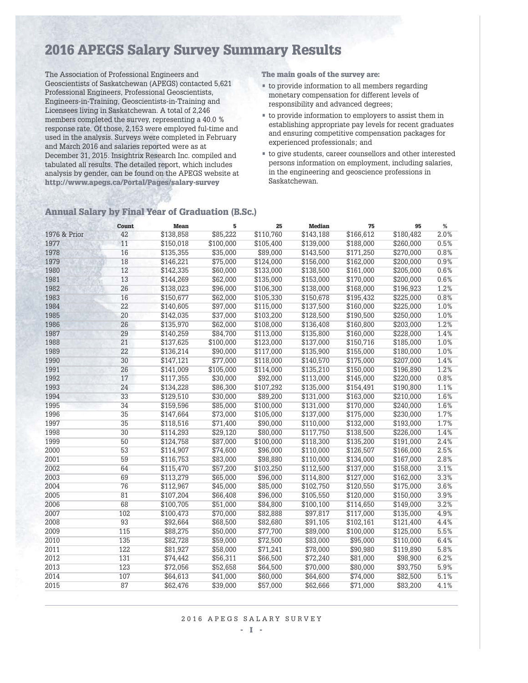# 2016 APEGS Salary Survey Summary Results

The Association of Professional Engineers and Geoscientists of Saskatchewan (APEGS) contacted 5,621 Professional Engineers, Professional Geoscientists, Engineers-in-Training, Geoscientists-in-Training and Licensees living in Saskatchewan. A total of 2,246 members completed the survey, representing a 40.0 % response rate. Of those, 2,153 were employed ful-time and used in the analysis. Surveys were completed in February and March 2016 and salaries reported were as at December 31, 2015. Insightrix Research Inc. compiled and tabulated all results. The detailed report, which includes analysis by gender, can be found on the APEGS website at http://www.apegs.ca/Portal/Pages/salary-survey

The main goals of the survey are:

- to provide information to all members regarding monetary compensation for different levels of responsibility and advanced degrees;
- to provide information to employers to assist them in establishing appropriate pay levels for recent graduates and ensuring competitive compensation packages for experienced professionals; and
- $\bullet\,$  to give students, career counsellors and other interested persons information on employment, including salaries, in the engineering and geoscience professions in Saskatchewan.

|              | Count | Mean      | 5         | 25        | <b>Median</b> | 75        | 95        | %    |
|--------------|-------|-----------|-----------|-----------|---------------|-----------|-----------|------|
| 1976 & Prior | 42    | \$138,858 | \$85,222  | \$110,760 | \$143,188     | \$166,612 | \$180,482 | 2.0% |
| 1977         | 11    | \$150,018 | \$100,000 | \$105,400 | \$139,000     | \$188,000 | \$260,000 | 0.5% |
| 1978         | 16    | \$135,355 | \$35,000  | \$89,000  | \$143,500     | \$171,250 | \$270,000 | 0.8% |
| 1979         | 18    | \$146,221 | \$75,000  | \$124,000 | \$156,000     | \$162,000 | \$200,000 | 0.9% |
| 1980         | 12    | \$142,335 | \$60,000  | \$133,000 | \$138,500     | \$161,000 | \$205,000 | 0.6% |
| 1981         | 13    | \$144,269 | \$62,000  | \$135,000 | \$153,000     | \$170,000 | \$200,000 | 0.6% |
| 1982         | 26    | \$138,023 | \$96,000  | \$106,300 | \$138,000     | \$168,000 | \$196,923 | 1.2% |
| 1983         | 16    | \$150,677 | \$62,000  | \$105,330 | \$150,678     | \$195,432 | \$225,000 | 0.8% |
| 1984         | 22    | \$140,605 | \$97,000  | \$115,000 | \$137,500     | \$160,000 | \$225,000 | 1.0% |
| 1985         | 20    | \$142,035 | \$37,000  | \$103,200 | \$128,500     | \$190,500 | \$250,000 | 1.0% |
| 1986         | 26    | \$135,970 | \$62,000  | \$108,000 | \$136,408     | \$160,800 | \$203,000 | 1.2% |
| 1987         | 29    | \$140,259 | \$84,700  | \$113,000 | \$135,800     | \$160,000 | \$228,000 | 1.4% |
| 1988         | 21    | \$137,625 | \$100,000 | \$123,000 | \$137,000     | \$150,716 | \$185,000 | 1.0% |
| 1989         | 22    | \$136,214 | \$90,000  | \$117,000 | \$135,900     | \$155,000 | \$180,000 | 1.0% |
| 1990         | 30    | \$147,121 | \$77,000  | \$118,000 | \$140,570     | \$175,000 | \$207,000 | 1.4% |
| 1991         | 26    | \$141,009 | \$105,000 | \$114,000 | \$135,210     | \$150,000 | \$196,890 | 1.2% |
| 1992         | 17    | \$117,355 | \$30,000  | \$92,000  | \$113,000     | \$145,000 | \$220,000 | 0.8% |
| 1993         | 24    | \$134,228 | \$86,300  | \$107,292 | \$135,000     | \$154,491 | \$190,800 | 1.1% |
| 1994         | 33    | \$129,510 | \$30,000  | \$89,200  | \$131,000     | \$163,000 | \$210,000 | 1.6% |
| 1995         | 34    | \$159,596 | \$85,000  | \$100.000 | \$131,000     | \$170,000 | \$240,000 | 1.6% |
| 1996         | 35    | \$147,664 | \$73,000  | \$105,000 | \$137,000     | \$175,000 | \$230,000 | 1.7% |
| 1997         | 35    | \$118,516 | \$71,400  | \$90,000  | \$110,000     | \$132,000 | \$193,000 | 1.7% |
| 1998         | 30    | \$114,293 | \$29,120  | \$80,000  | \$117,750     | \$138,500 | \$226,000 | 1.4% |
| 1999         | 50    | \$124,758 | \$87,000  | \$100.000 | \$118,300     | \$135,200 | \$191,000 | 2.4% |
| 2000         | 53    | \$114,907 | \$74,600  | \$96.000  | \$110,000     | \$126,507 | \$166,000 | 2.5% |
| 2001         | 59    | \$116,753 | \$83,000  | \$98,880  | \$110,000     | \$134,000 | \$167,000 | 2.8% |
| 2002         | 64    | \$115,470 | \$57,200  | \$103,250 | \$112,500     | \$137,000 | \$158,000 | 3.1% |
| 2003         | 69    | \$113,279 | \$65,000  | \$96,000  | \$114,800     | \$127,000 | \$162,000 | 3.3% |
| 2004         | 76    | \$112,967 | \$45,000  | \$85,000  | \$102,750     | \$120,550 | \$175,000 | 3.6% |
| 2005         | 81    | \$107,204 | \$66,408  | \$96,000  | \$105,550     | \$120,000 | \$150,000 | 3.9% |
| 2006         | 68    | \$100,705 | \$51,000  | \$84,800  | \$100,100     | \$114,650 | \$149,000 | 3.2% |
| 2007         | 102   | \$100,473 | \$70,000  | \$82,888  | \$97,817      | \$117,000 | \$135,000 | 4.9% |
| 2008         | 93    | \$92,664  | \$68,500  | \$82,680  | \$91,105      | \$102,161 | \$121,400 | 4.4% |
| 2009         | 115   | \$88,275  | \$50,000  | \$77,700  | \$89,000      | \$100,000 | \$125,000 | 5.5% |
| 2010         | 135   | \$82,728  | \$59,000  | \$72,500  | \$83,000      | \$95,000  | \$110,000 | 6.4% |
| 2011         | 122   | \$81,927  | \$58,000  | \$71,241  | \$78,000      | \$90,980  | \$119,890 | 5.8% |
| 2012         | 131   | \$74,442  | \$56,311  | \$66,500  | \$72,240      | \$81,000  | \$98,900  | 6.2% |
| 2013         | 123   | \$72,056  | \$52,658  | \$64,500  | \$70,000      | \$80,000  | \$93,750  | 5.9% |
| 2014         | 107   | \$64,613  | \$41,000  | \$60,000  | \$64,600      | \$74,000  | \$82,500  | 5.1% |
| 2015         | 87    | \$62,476  | \$39,000  | \$57,000  | \$62,666      | \$71,000  | \$83,200  | 4.1% |

#### Annual Salary by Final Year of Graduation (B.Sc.)

#### 2016 APEGS SALARY SURVEY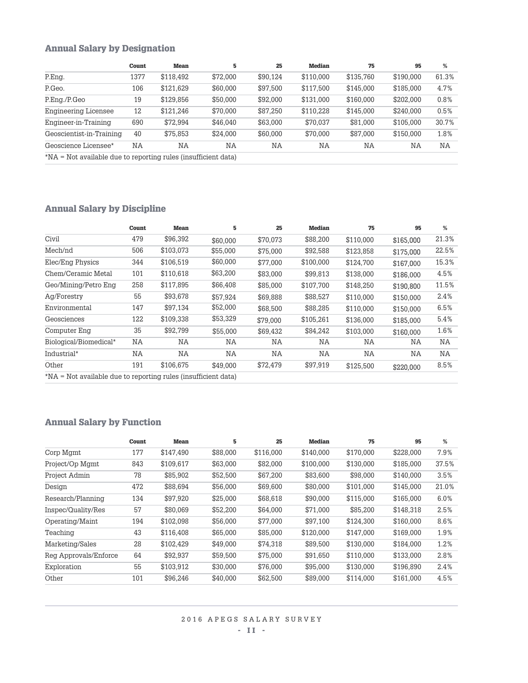### Annual Salary by Designation

|                                                                | Count     | Mean      | 5        | 25       | <b>Median</b> | 75        | 95        | %     |
|----------------------------------------------------------------|-----------|-----------|----------|----------|---------------|-----------|-----------|-------|
| P.Eng.                                                         | 1377      | \$118,492 | \$72,000 | \$90,124 | \$110,000     | \$135,760 | \$190,000 | 61.3% |
| P.Geo.                                                         | 106       | \$121,629 | \$60,000 | \$97,500 | \$117,500     | \$145,000 | \$185,000 | 4.7%  |
| P.Eng./P.Geo                                                   | 19        | \$129,856 | \$50,000 | \$92,000 | \$131,000     | \$160,000 | \$202,000 | 0.8%  |
| <b>Engineering Licensee</b>                                    | 12        | \$121.246 | \$70,000 | \$87.250 | \$110.228     | \$145,000 | \$240,000 | 0.5%  |
| Engineer-in-Training                                           | 690       | \$72.994  | \$46,040 | \$63,000 | \$70,037      | \$81,000  | \$105,000 | 30.7% |
| Geoscientist-in-Training                                       | 40        | \$75.853  | \$24,000 | \$60,000 | \$70,000      | \$87,000  | \$150,000 | 1.8%  |
| Geoscience Licensee*                                           | <b>NA</b> | NA        | NA       | NA       | ΝA            | ΝA        | NA        | NA    |
| *NA = Not available due to reporting rules (insufficient data) |           |           |          |          |               |           |           |       |

Annual Salary by Discipline

|                        | Count     | Mean      | 5        | 25       | <b>Median</b> | 75        | 95        | %     |
|------------------------|-----------|-----------|----------|----------|---------------|-----------|-----------|-------|
| Civil                  | 479       | \$96.392  | \$60,000 | \$70,073 | \$88,200      | \$110,000 | \$165,000 | 21.3% |
| Mech/nd                | 506       | \$103,073 | \$55,000 | \$75,000 | \$92,588      | \$123,858 | \$175,000 | 22.5% |
| Elec/Eng Physics       | 344       | \$106.519 | \$60,000 | \$77.000 | \$100,000     | \$124,700 | \$167,000 | 15.3% |
| Chem/Ceramic Metal     | 101       | \$110,618 | \$63,200 | \$83,000 | \$99,813      | \$138,000 | \$186,000 | 4.5%  |
| Geo/Mining/Petro Eng   | 258       | \$117.895 | \$66,408 | \$85,000 | \$107,700     | \$148.250 | \$190,800 | 11.5% |
| Ag/Forestry            | 55        | \$93.678  | \$57,924 | \$69,888 | \$88,527      | \$110,000 | \$150,000 | 2.4%  |
| Environmental          | 147       | \$97,134  | \$52,000 | \$68,500 | \$88,285      | \$110,000 | \$150,000 | 6.5%  |
| Geosciences            | 122       | \$109.338 | \$53,329 | \$79,000 | \$105,261     | \$136,000 | \$185,000 | 5.4%  |
| Computer Eng           | 35        | \$92.799  | \$55,000 | \$69,432 | \$84,242      | \$103.000 | \$160,000 | 1.6%  |
| Biological/Biomedical* | <b>NA</b> | NA        | NA       | NA       | NA            | NA        | NA        | NA    |
| Industrial*            | ΝA        | ΝA        | NA       | ΝA       | NA            | NA        | NA        | NA    |
| Other                  | 191       | \$106.675 | \$49,000 | \$72,479 | \$97.919      | \$125,500 | \$220,000 | 8.5%  |

\*NA = Not available due to reporting rules (insufficient data)

## Annual Salary by Function

|                       | Count | Mean      | 5        | 25        | <b>Median</b> | 75        | 95        | %     |
|-----------------------|-------|-----------|----------|-----------|---------------|-----------|-----------|-------|
| Corp Mgmt             | 177   | \$147,490 | \$88,000 | \$116,000 | \$140,000     | \$170,000 | \$228,000 | 7.9%  |
| Project/Op Mgmt       | 843   | \$109,617 | \$63,000 | \$82,000  | \$100,000     | \$130,000 | \$185,000 | 37.5% |
| Project Admin         | 78    | \$85,902  | \$52,500 | \$67,200  | \$83,600      | \$98,000  | \$140.000 | 3.5%  |
| Design                | 472   | \$88,694  | \$56,000 | \$69,600  | \$80,000      | \$101.000 | \$145,000 | 21.0% |
| Research/Planning     | 134   | \$97,920  | \$25,000 | \$68,618  | \$90,000      | \$115,000 | \$165,000 | 6.0%  |
| Inspec/Quality/Res    | 57    | \$80.069  | \$52,200 | \$64,000  | \$71,000      | \$85,200  | \$148,318 | 2.5%  |
| Operating/Maint       | 194   | \$102.098 | \$56,000 | \$77,000  | \$97,100      | \$124.300 | \$160,000 | 8.6%  |
| Teaching              | 43    | \$116,408 | \$65,000 | \$85,000  | \$120,000     | \$147,000 | \$169,000 | 1.9%  |
| Marketing/Sales       | 28    | \$102.429 | \$49,000 | \$74,318  | \$89,500      | \$130,000 | \$184.000 | 1.2%  |
| Reg Approvals/Enforce | 64    | \$92.937  | \$59,500 | \$75,000  | \$91.650      | \$110,000 | \$133,000 | 2.8%  |
| Exploration           | 55    | \$103,912 | \$30,000 | \$76,000  | \$95,000      | \$130,000 | \$196.890 | 2.4%  |
| Other                 | 101   | \$96,246  | \$40,000 | \$62,500  | \$89,000      | \$114.000 | \$161.000 | 4.5%  |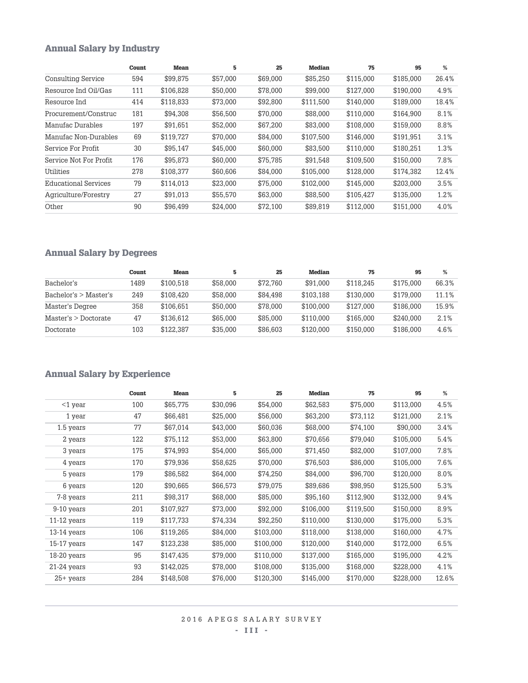## Annual Salary by Industry

|                             | Count | <b>Mean</b> | 5        | 25       | <b>Median</b> | 75        | 95        | %     |
|-----------------------------|-------|-------------|----------|----------|---------------|-----------|-----------|-------|
| <b>Consulting Service</b>   | 594   | \$99,875    | \$57,000 | \$69,000 | \$85,250      | \$115,000 | \$185,000 | 26.4% |
| Resource Ind Oil/Gas        | 111   | \$106,828   | \$50,000 | \$78,000 | \$99,000      | \$127,000 | \$190,000 | 4.9%  |
| Resource Ind                | 414   | \$118,833   | \$73,000 | \$92,800 | \$111,500     | \$140,000 | \$189,000 | 18.4% |
| Procurement/Construc        | 181   | \$94,308    | \$56,500 | \$70,000 | \$88,000      | \$110,000 | \$164,900 | 8.1%  |
| Manufac Durables            | 197   | \$91,651    | \$52,000 | \$67,200 | \$83,000      | \$108,000 | \$159,000 | 8.8%  |
| Manufac Non-Durables        | 69    | \$119,727   | \$70,000 | \$84,000 | \$107.500     | \$146,000 | \$191,951 | 3.1%  |
| Service For Profit          | 30    | \$95.147    | \$45,000 | \$60,000 | \$83,500      | \$110,000 | \$180,251 | 1.3%  |
| Service Not For Profit      | 176   | \$95,873    | \$60,000 | \$75,785 | \$91,548      | \$109,500 | \$150,000 | 7.8%  |
| Utilities                   | 278   | \$108,377   | \$60,606 | \$84,000 | \$105,000     | \$128,000 | \$174,382 | 12.4% |
| <b>Educational Services</b> | 79    | \$114.013   | \$23,000 | \$75,000 | \$102.000     | \$145,000 | \$203.000 | 3.5%  |
| Agriculture/Forestry        | 27    | \$91.013    | \$55,570 | \$63,000 | \$88,500      | \$105.427 | \$135,000 | 1.2%  |
| Other                       | 90    | \$96,499    | \$24,000 | \$72,100 | \$89.819      | \$112,000 | \$151.000 | 4.0%  |

# Annual Salary by Degrees

|                       | Count | <b>Mean</b> | 5        | 25       | Median    | 75        | 95        | %     |
|-----------------------|-------|-------------|----------|----------|-----------|-----------|-----------|-------|
| Bachelor's            | 1489  | \$100.518   | \$58,000 | \$72.760 | \$91,000  | \$118.245 | \$175,000 | 66.3% |
| Bachelor's > Master's | 249   | \$108.420   | \$58,000 | \$84.498 | \$103.188 | \$130,000 | \$179,000 | 11.1% |
| Master's Degree       | 358   | \$106.651   | \$50,000 | \$78,000 | \$100,000 | \$127,000 | \$186,000 | 15.9% |
| Master's > Doctorate  | 47    | \$136.612   | \$65,000 | \$85,000 | \$110,000 | \$165,000 | \$240,000 | 2.1%  |
| Doctorate             | 103   | \$122.387   | \$35,000 | \$86,603 | \$120,000 | \$150,000 | \$186,000 | 4.6%  |

# Annual Salary by Experience

|               | Count | <b>Mean</b> | 5        | 25        | <b>Median</b> | 75        | 95        | %     |
|---------------|-------|-------------|----------|-----------|---------------|-----------|-----------|-------|
| $<$ 1 year    | 100   | \$65,775    | \$30,096 | \$54,000  | \$62,583      | \$75,000  | \$113,000 | 4.5%  |
| 1 year        | 47    | \$66,481    | \$25,000 | \$56,000  | \$63,200      | \$73,112  | \$121,000 | 2.1%  |
| 1.5 years     | 77    | \$67,014    | \$43,000 | \$60,036  | \$68,000      | \$74,100  | \$90,000  | 3.4%  |
| 2 years       | 122   | \$75,112    | \$53,000 | \$63,800  | \$70,656      | \$79,040  | \$105,000 | 5.4%  |
| 3 years       | 175   | \$74,993    | \$54,000 | \$65,000  | \$71,450      | \$82,000  | \$107,000 | 7.8%  |
| 4 years       | 170   | \$79,936    | \$58,625 | \$70,000  | \$76,503      | \$86,000  | \$105,000 | 7.6%  |
| 5 years       | 179   | \$86,582    | \$64,000 | \$74,250  | \$84,000      | \$96,700  | \$120,000 | 8.0%  |
| 6 years       | 120   | \$90,665    | \$66,573 | \$79,075  | \$89,686      | \$98,950  | \$125,500 | 5.3%  |
| 7-8 years     | 211   | \$98,317    | \$68,000 | \$85,000  | \$95,160      | \$112,900 | \$132,000 | 9.4%  |
| 9-10 years    | 201   | \$107,927   | \$73,000 | \$92,000  | \$106,000     | \$119,500 | \$150,000 | 8.9%  |
| $11-12$ years | 119   | \$117,733   | \$74,334 | \$92,250  | \$110,000     | \$130,000 | \$175,000 | 5.3%  |
| 13-14 years   | 106   | \$119,265   | \$84,000 | \$103,000 | \$118,000     | \$138,000 | \$160,000 | 4.7%  |
| $15-17$ years | 147   | \$123,238   | \$85,000 | \$100,000 | \$120,000     | \$140,000 | \$172,000 | 6.5%  |
| 18-20 years   | 95    | \$147,435   | \$79,000 | \$110,000 | \$137,000     | \$165,000 | \$195,000 | 4.2%  |
| $21-24$ years | 93    | \$142,025   | \$78,000 | \$108,000 | \$135,000     | \$168,000 | \$228,000 | 4.1%  |
| $25+$ years   | 284   | \$148,508   | \$76,000 | \$120,300 | \$145,000     | \$170,000 | \$228,000 | 12.6% |

### 2016 APEGS SALARY SURVEY